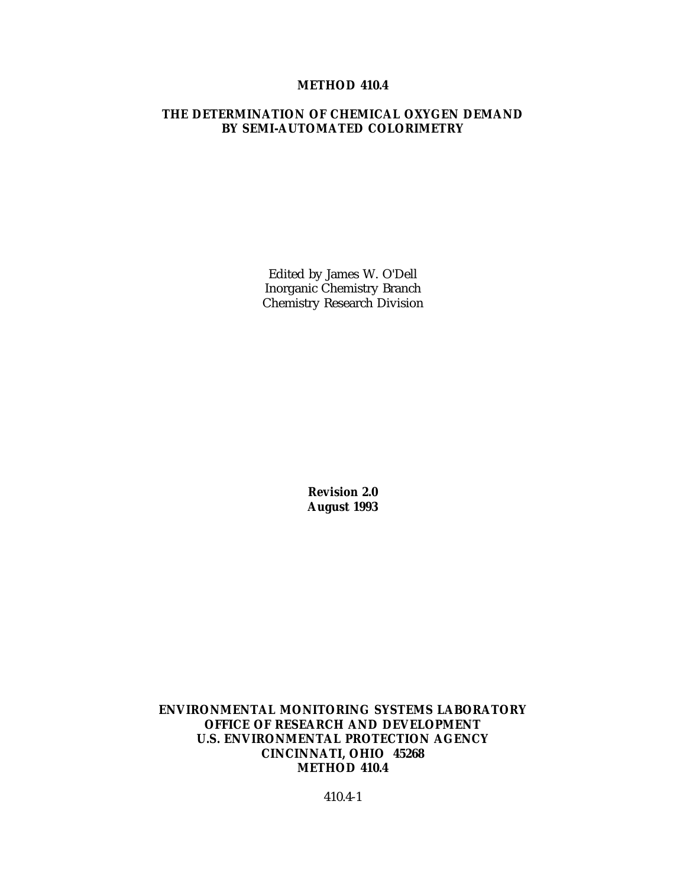#### **METHOD 410.4**

#### **THE DETERMINATION OF CHEMICAL OXYGEN DEMAND BY SEMI-AUTOMATED COLORIMETRY**

Edited by James W. O'Dell Inorganic Chemistry Branch Chemistry Research Division

> **Revision 2.0 August 1993**

**ENVIRONMENTAL MONITORING SYSTEMS LABORATORY OFFICE OF RESEARCH AND DEVELOPMENT U.S. ENVIRONMENTAL PROTECTION AGENCY CINCINNATI, OHIO 45268 METHOD 410.4**

410.4-1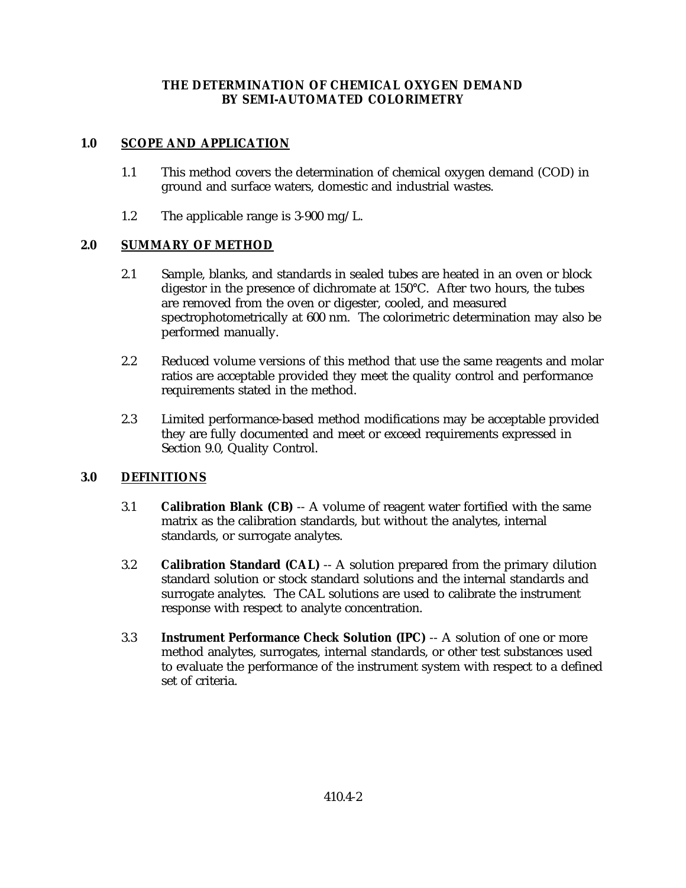## **THE DETERMINATION OF CHEMICAL OXYGEN DEMAND BY SEMI-AUTOMATED COLORIMETRY**

## **1.0 SCOPE AND APPLICATION**

- 1.1 This method covers the determination of chemical oxygen demand (COD) in ground and surface waters, domestic and industrial wastes.
- 1.2 The applicable range is 3-900 mg/L.

## **2.0 SUMMARY OF METHOD**

- 2.1 Sample, blanks, and standards in sealed tubes are heated in an oven or block digestor in the presence of dichromate at 150°C. After two hours, the tubes are removed from the oven or digester, cooled, and measured spectrophotometrically at 600 nm. The colorimetric determination may also be performed manually.
- 2.2 Reduced volume versions of this method that use the same reagents and molar ratios are acceptable provided they meet the quality control and performance requirements stated in the method.
- 2.3 Limited performance-based method modifications may be acceptable provided they are fully documented and meet or exceed requirements expressed in Section 9.0, Quality Control.

# **3.0 DEFINITIONS**

- 3.1 **Calibration Blank (CB)** -- A volume of reagent water fortified with the same matrix as the calibration standards, but without the analytes, internal standards, or surrogate analytes.
- 3.2 **Calibration Standard (CAL)** -- A solution prepared from the primary dilution standard solution or stock standard solutions and the internal standards and surrogate analytes. The CAL solutions are used to calibrate the instrument response with respect to analyte concentration.
- 3.3 **Instrument Performance Check Solution (IPC)** -- A solution of one or more method analytes, surrogates, internal standards, or other test substances used to evaluate the performance of the instrument system with respect to a defined set of criteria.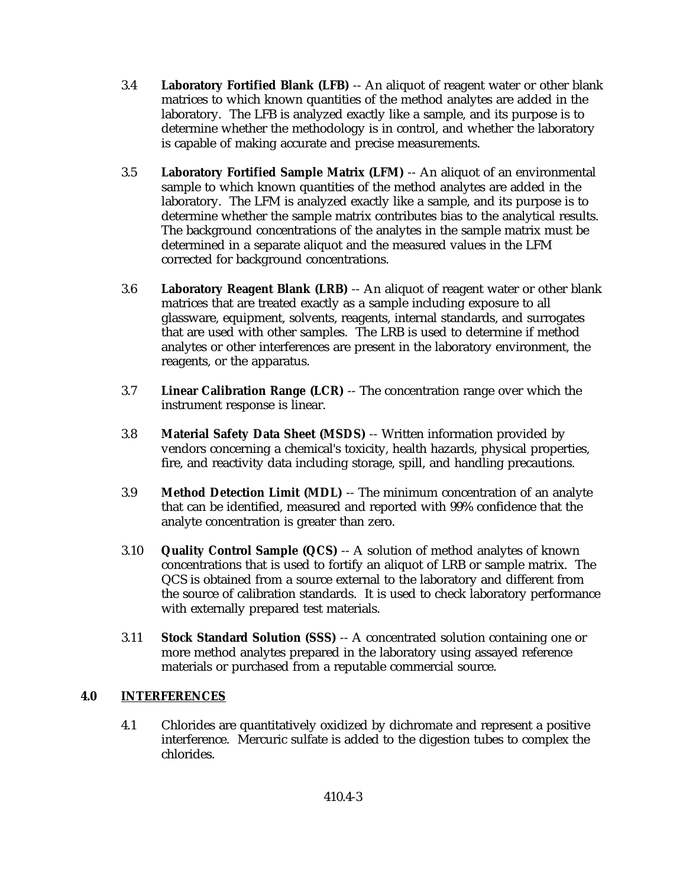- 3.4 **Laboratory Fortified Blank (LFB)** -- An aliquot of reagent water or other blank matrices to which known quantities of the method analytes are added in the laboratory. The LFB is analyzed exactly like a sample, and its purpose is to determine whether the methodology is in control, and whether the laboratory is capable of making accurate and precise measurements.
- 3.5 **Laboratory Fortified Sample Matrix (LFM)** -- An aliquot of an environmental sample to which known quantities of the method analytes are added in the laboratory. The LFM is analyzed exactly like a sample, and its purpose is to determine whether the sample matrix contributes bias to the analytical results. The background concentrations of the analytes in the sample matrix must be determined in a separate aliquot and the measured values in the LFM corrected for background concentrations.
- 3.6 **Laboratory Reagent Blank (LRB)** -- An aliquot of reagent water or other blank matrices that are treated exactly as a sample including exposure to all glassware, equipment, solvents, reagents, internal standards, and surrogates that are used with other samples. The LRB is used to determine if method analytes or other interferences are present in the laboratory environment, the reagents, or the apparatus.
- 3.7 **Linear Calibration Range (LCR)** -- The concentration range over which the instrument response is linear.
- 3.8 **Material Safety Data Sheet (MSDS)** -- Written information provided by vendors concerning a chemical's toxicity, health hazards, physical properties, fire, and reactivity data including storage, spill, and handling precautions.
- 3.9 **Method Detection Limit (MDL)** -- The minimum concentration of an analyte that can be identified, measured and reported with 99% confidence that the analyte concentration is greater than zero.
- 3.10 **Quality Control Sample (QCS)** -- A solution of method analytes of known concentrations that is used to fortify an aliquot of LRB or sample matrix. The QCS is obtained from a source external to the laboratory and different from the source of calibration standards. It is used to check laboratory performance with externally prepared test materials.
- 3.11 **Stock Standard Solution (SSS)** -- A concentrated solution containing one or more method analytes prepared in the laboratory using assayed reference materials or purchased from a reputable commercial source.

### **4.0 INTERFERENCES**

4.1 Chlorides are quantitatively oxidized by dichromate and represent a positive interference. Mercuric sulfate is added to the digestion tubes to complex the chlorides.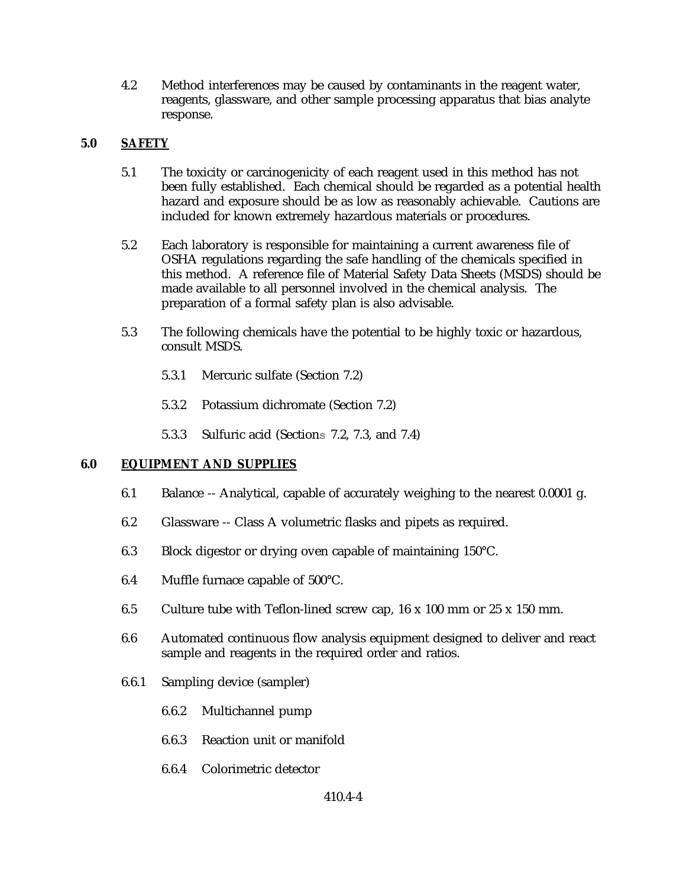4.2 Method interferences may be caused by contaminants in the reagent water, reagents, glassware, and other sample processing apparatus that bias analyte response.

## **5.0 SAFETY**

- 5.1 The toxicity or carcinogenicity of each reagent used in this method has not been fully established. Each chemical should be regarded as a potential health hazard and exposure should be as low as reasonably achievable. Cautions are included for known extremely hazardous materials or procedures.
- 5.2 Each laboratory is responsible for maintaining a current awareness file of OSHA regulations regarding the safe handling of the chemicals specified in this method. A reference file of Material Safety Data Sheets (MSDS) should be made available to all personnel involved in the chemical analysis. The preparation of a formal safety plan is also advisable.
- 5.3 The following chemicals have the potential to be highly toxic or hazardous, consult MSDS.
	- 5.3.1 Mercuric sulfate (Section 7.2)
	- 5.3.2 Potassium dichromate (Section 7.2)
	- 5.3.3 Sulfuric acid (Sections 7.2, 7.3, and 7.4)

### **6.0 EQUIPMENT AND SUPPLIES**

- 6.1 Balance -- Analytical, capable of accurately weighing to the nearest 0.0001 g.
- 6.2 Glassware -- Class A volumetric flasks and pipets as required.
- 6.3 Block digestor or drying oven capable of maintaining 150°C.
- 6.4 Muffle furnace capable of 500°C.
- 6.5 Culture tube with Teflon-lined screw cap, 16 x 100 mm or 25 x 150 mm.
- 6.6 Automated continuous flow analysis equipment designed to deliver and react sample and reagents in the required order and ratios.
- 6.6.1 Sampling device (sampler)
	- 6.6.2 Multichannel pump
	- 6.6.3 Reaction unit or manifold
	- 6.6.4 Colorimetric detector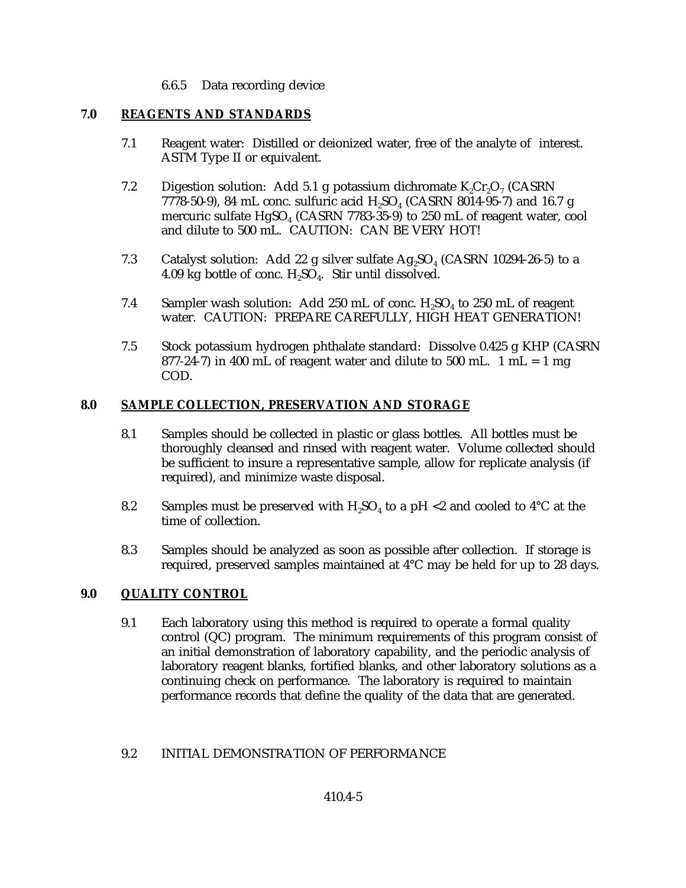#### 6.6.5 Data recording device

### **7.0 REAGENTS AND STANDARDS**

- 7.1 Reagent water: Distilled or deionized water, free of the analyte of interest. ASTM Type II or equivalent.
- 7.2 Digestion solution: Add 5.1 g potassium dichromate  $K_2Cr_2O_7$  (CASRN 7778-50-9), 84 mL conc. sulfuric acid  $H_2SO_4$  (CASRN 8014-95-7) and 16.7 g mercuric sulfate  $HgSO<sub>4</sub>$  (CASRN 7783-35-9) to 250 mL of reagent water, cool and dilute to 500 mL. CAUTION: CAN BE VERY HOT!
- 7.3 Catalyst solution: Add 22 g silver sulfate  $Ag_sSO_4$  (CASRN 10294-26-5) to a 4.09 kg bottle of conc.  $H_2SO_4$ . Stir until dissolved.
- 7.4 Sampler wash solution: Add 250 mL of conc.  $H<sub>2</sub>SO<sub>4</sub>$  to 250 mL of reagent water. CAUTION: PREPARE CAREFULLY, HIGH HEAT GENERATION!
- 7.5 Stock potassium hydrogen phthalate standard: Dissolve 0.425 g KHP (CASRN 877-24-7) in 400 mL of reagent water and dilute to 500 mL. 1 mL = 1 mg COD.

### **8.0 SAMPLE COLLECTION, PRESERVATION AND STORAGE**

- 8.1 Samples should be collected in plastic or glass bottles. All bottles must be thoroughly cleansed and rinsed with reagent water. Volume collected should be sufficient to insure a representative sample, allow for replicate analysis (if required), and minimize waste disposal.
- 8.2 Samples must be preserved with  $H_2SO_4$  to a pH <2 and cooled to 4°C at the time of collection.
- 8.3 Samples should be analyzed as soon as possible after collection. If storage is required, preserved samples maintained at 4°C may be held for up to 28 days.

### **9.0 QUALITY CONTROL**

9.1 Each laboratory using this method is required to operate a formal quality control (QC) program. The minimum requirements of this program consist of an initial demonstration of laboratory capability, and the periodic analysis of laboratory reagent blanks, fortified blanks, and other laboratory solutions as a continuing check on performance. The laboratory is required to maintain performance records that define the quality of the data that are generated.

### 9.2 INITIAL DEMONSTRATION OF PERFORMANCE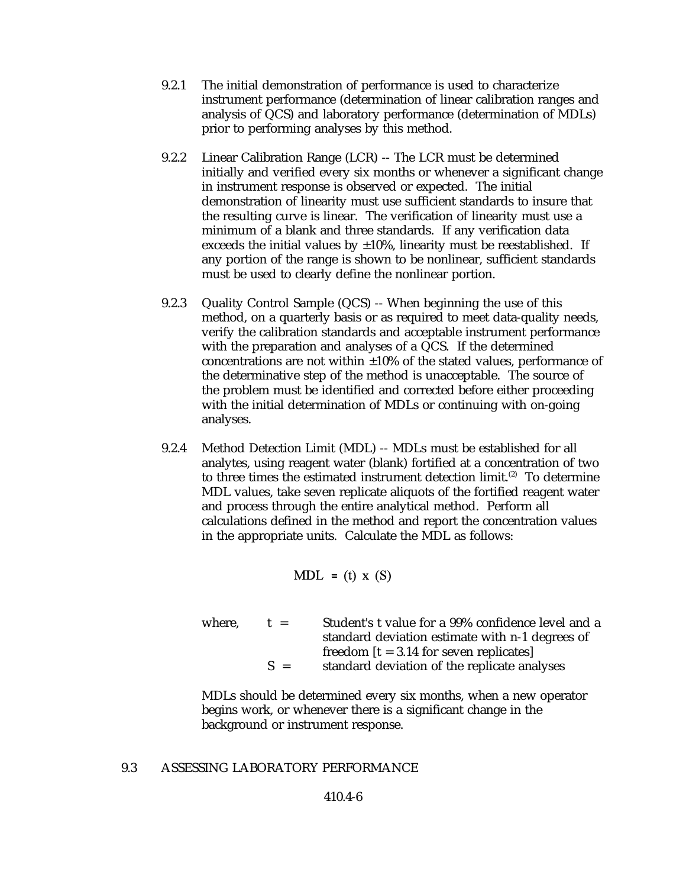- 9.2.1 The initial demonstration of performance is used to characterize instrument performance (determination of linear calibration ranges and analysis of QCS) and laboratory performance (determination of MDLs) prior to performing analyses by this method.
- 9.2.2 Linear Calibration Range (LCR) -- The LCR must be determined initially and verified every six months or whenever a significant change in instrument response is observed or expected. The initial demonstration of linearity must use sufficient standards to insure that the resulting curve is linear. The verification of linearity must use a minimum of a blank and three standards. If any verification data exceeds the initial values by  $\pm 10\%$ , linearity must be reestablished. If any portion of the range is shown to be nonlinear, sufficient standards must be used to clearly define the nonlinear portion.
- 9.2.3 Quality Control Sample (QCS) -- When beginning the use of this method, on a quarterly basis or as required to meet data-quality needs, verify the calibration standards and acceptable instrument performance with the preparation and analyses of a QCS. If the determined concentrations are not within  $\pm 10\%$  of the stated values, performance of the determinative step of the method is unacceptable. The source of the problem must be identified and corrected before either proceeding with the initial determination of MDLs or continuing with on-going analyses.
- 9.2.4 Method Detection Limit (MDL) -- MDLs must be established for all analytes, using reagent water (blank) fortified at a concentration of two to three times the estimated instrument detection limit.<sup> $(2)$ </sup> To determine MDL values, take seven replicate aliquots of the fortified reagent water and process through the entire analytical method. Perform all calculations defined in the method and report the concentration values in the appropriate units. Calculate the MDL as follows:

$$
MDL = (t) \times (S)
$$

where,  $t =$  Student's t value for a 99% confidence level and a standard deviation estimate with n-1 degrees of freedom  $[t = 3.14$  for seven replicates] S = standard deviation of the replicate analyses

MDLs should be determined every six months, when a new operator begins work, or whenever there is a significant change in the background or instrument response.

#### 9.3 ASSESSING LABORATORY PERFORMANCE

#### 410.4-6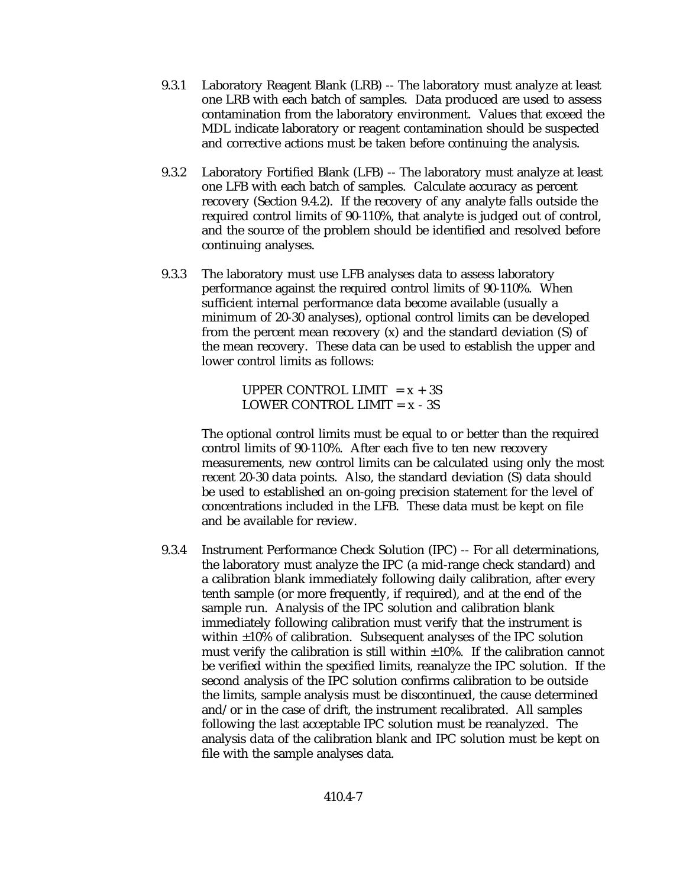- 9.3.1 Laboratory Reagent Blank (LRB) -- The laboratory must analyze at least one LRB with each batch of samples. Data produced are used to assess contamination from the laboratory environment. Values that exceed the MDL indicate laboratory or reagent contamination should be suspected and corrective actions must be taken before continuing the analysis.
- 9.3.2 Laboratory Fortified Blank (LFB) -- The laboratory must analyze at least one LFB with each batch of samples. Calculate accuracy as percent recovery (Section 9.4.2). If the recovery of any analyte falls outside the required control limits of 90-110%, that analyte is judged out of control, and the source of the problem should be identified and resolved before continuing analyses.
- 9.3.3 The laboratory must use LFB analyses data to assess laboratory performance against the required control limits of 90-110%. When sufficient internal performance data become available (usually a minimum of 20-30 analyses), optional control limits can be developed from the percent mean recovery (x) and the standard deviation (S) of the mean recovery. These data can be used to establish the upper and lower control limits as follows:

UPPER CONTROL LIMIT  $= x + 3S$ LOWER CONTROL LIMIT  $= x - 3S$ 

The optional control limits must be equal to or better than the required control limits of 90-110%. After each five to ten new recovery measurements, new control limits can be calculated using only the most recent 20-30 data points. Also, the standard deviation (S) data should be used to established an on-going precision statement for the level of concentrations included in the LFB. These data must be kept on file and be available for review.

9.3.4 Instrument Performance Check Solution (IPC) -- For all determinations, the laboratory must analyze the IPC (a mid-range check standard) and a calibration blank immediately following daily calibration, after every tenth sample (or more frequently, if required), and at the end of the sample run. Analysis of the IPC solution and calibration blank immediately following calibration must verify that the instrument is within  $\pm 10\%$  of calibration. Subsequent analyses of the IPC solution must verify the calibration is still within  $\pm 10\%$ . If the calibration cannot be verified within the specified limits, reanalyze the IPC solution. If the second analysis of the IPC solution confirms calibration to be outside the limits, sample analysis must be discontinued, the cause determined and/or in the case of drift, the instrument recalibrated. All samples following the last acceptable IPC solution must be reanalyzed. The analysis data of the calibration blank and IPC solution must be kept on file with the sample analyses data.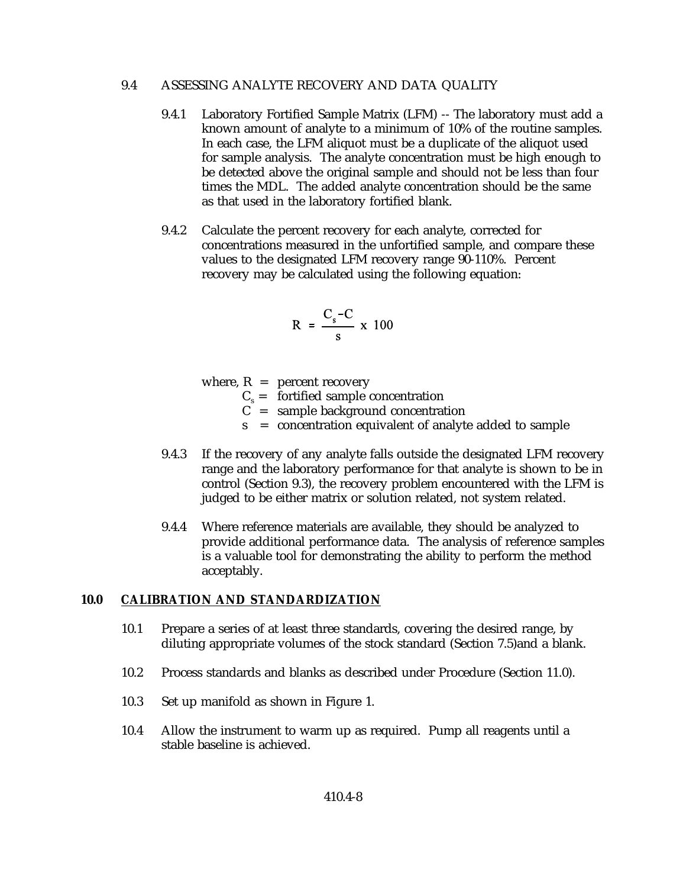#### 9.4 ASSESSING ANALYTE RECOVERY AND DATA QUALITY

- 9.4.1 Laboratory Fortified Sample Matrix (LFM) -- The laboratory must add a known amount of analyte to a minimum of 10% of the routine samples. In each case, the LFM aliquot must be a duplicate of the aliquot used for sample analysis. The analyte concentration must be high enough to be detected above the original sample and should not be less than four times the MDL. The added analyte concentration should be the same as that used in the laboratory fortified blank.
- 9.4.2 Calculate the percent recovery for each analyte, corrected for concentrations measured in the unfortified sample, and compare these values to the designated LFM recovery range 90-110%. Percent recovery may be calculated using the following equation:

$$
R = \frac{C_s - C}{s} \times 100
$$

where,  $R =$  percent recovery

 $C<sub>s</sub>$  = fortified sample concentration

 $C =$  sample background concentration

- s = concentration equivalent of analyte added to sample
- 9.4.3 If the recovery of any analyte falls outside the designated LFM recovery range and the laboratory performance for that analyte is shown to be in control (Section 9.3), the recovery problem encountered with the LFM is judged to be either matrix or solution related, not system related.
- 9.4.4 Where reference materials are available, they should be analyzed to provide additional performance data. The analysis of reference samples is a valuable tool for demonstrating the ability to perform the method acceptably.

#### **10.0 CALIBRATION AND STANDARDIZATION**

- 10.1 Prepare a series of at least three standards, covering the desired range, by diluting appropriate volumes of the stock standard (Section 7.5)and a blank.
- 10.2 Process standards and blanks as described under Procedure (Section 11.0).
- 10.3 Set up manifold as shown in Figure 1.
- 10.4 Allow the instrument to warm up as required. Pump all reagents until a stable baseline is achieved.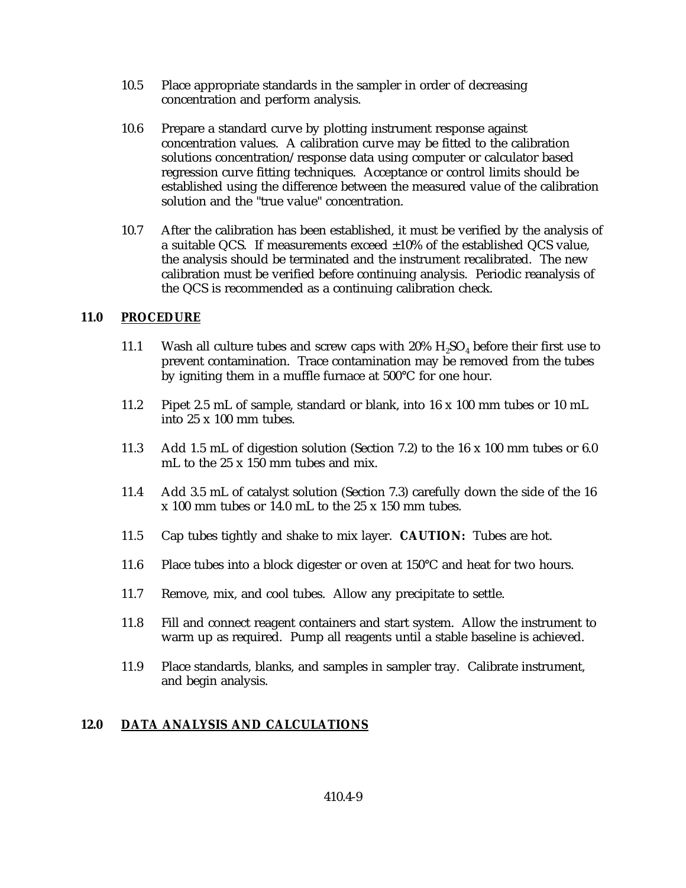- 10.5 Place appropriate standards in the sampler in order of decreasing concentration and perform analysis.
- 10.6 Prepare a standard curve by plotting instrument response against concentration values. A calibration curve may be fitted to the calibration solutions concentration/response data using computer or calculator based regression curve fitting techniques. Acceptance or control limits should be established using the difference between the measured value of the calibration solution and the "true value" concentration.
- 10.7 After the calibration has been established, it must be verified by the analysis of a suitable QCS. If measurements exceed  $\pm 10\%$  of the established QCS value, the analysis should be terminated and the instrument recalibrated. The new calibration must be verified before continuing analysis. Periodic reanalysis of the QCS is recommended as a continuing calibration check.

### **11.0 PROCEDURE**

- 11.1 Wash all culture tubes and screw caps with  $20\%$  H<sub>2</sub>SO<sub>4</sub> before their first use to prevent contamination. Trace contamination may be removed from the tubes by igniting them in a muffle furnace at 500°C for one hour.
- 11.2 Pipet 2.5 mL of sample, standard or blank, into 16 x 100 mm tubes or 10 mL into 25 x 100 mm tubes.
- 11.3 Add 1.5 mL of digestion solution (Section 7.2) to the 16 x 100 mm tubes or 6.0 mL to the 25 x 150 mm tubes and mix.
- 11.4 Add 3.5 mL of catalyst solution (Section 7.3) carefully down the side of the 16 x 100 mm tubes or 14.0 mL to the 25 x 150 mm tubes.
- 11.5 Cap tubes tightly and shake to mix layer. **CAUTION:** Tubes are hot.
- 11.6 Place tubes into a block digester or oven at 150°C and heat for two hours.
- 11.7 Remove, mix, and cool tubes. Allow any precipitate to settle.
- 11.8 Fill and connect reagent containers and start system. Allow the instrument to warm up as required. Pump all reagents until a stable baseline is achieved.
- 11.9 Place standards, blanks, and samples in sampler tray. Calibrate instrument, and begin analysis.

# **12.0 DATA ANALYSIS AND CALCULATIONS**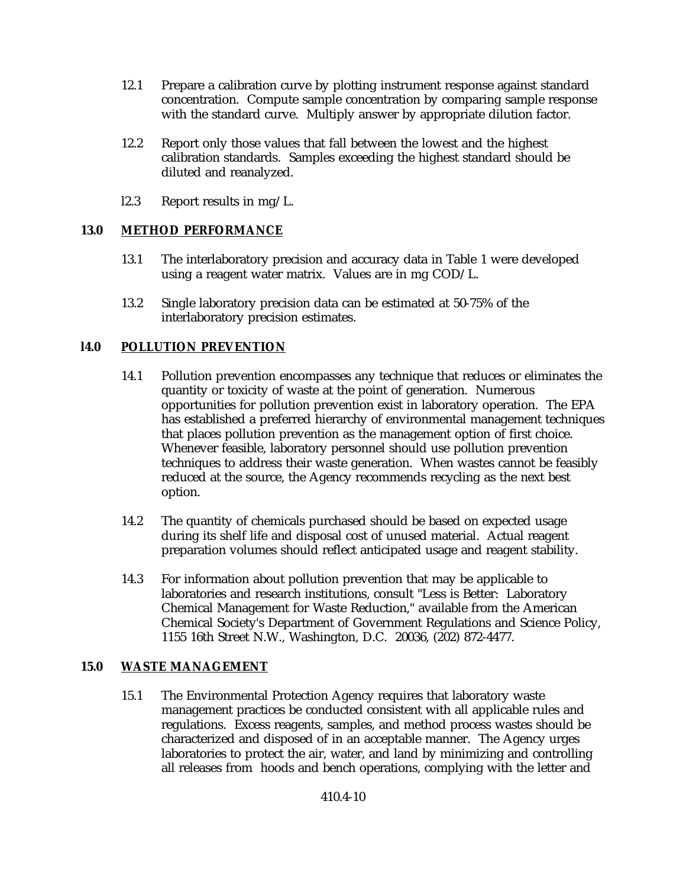- 12.1 Prepare a calibration curve by plotting instrument response against standard concentration. Compute sample concentration by comparing sample response with the standard curve. Multiply answer by appropriate dilution factor.
- 12.2 Report only those values that fall between the lowest and the highest calibration standards. Samples exceeding the highest standard should be diluted and reanalyzed.
- l2.3 Report results in mg/L.

# **13.0 METHOD PERFORMANCE**

- 13.1 The interlaboratory precision and accuracy data in Table 1 were developed using a reagent water matrix. Values are in mg COD/L.
- 13.2 Single laboratory precision data can be estimated at 50-75% of the interlaboratory precision estimates.

## **l4.0 POLLUTION PREVENTION**

- 14.1 Pollution prevention encompasses any technique that reduces or eliminates the quantity or toxicity of waste at the point of generation. Numerous opportunities for pollution prevention exist in laboratory operation. The EPA has established a preferred hierarchy of environmental management techniques that places pollution prevention as the management option of first choice. Whenever feasible, laboratory personnel should use pollution prevention techniques to address their waste generation. When wastes cannot be feasibly reduced at the source, the Agency recommends recycling as the next best option.
- 14.2 The quantity of chemicals purchased should be based on expected usage during its shelf life and disposal cost of unused material. Actual reagent preparation volumes should reflect anticipated usage and reagent stability.
- 14.3 For information about pollution prevention that may be applicable to laboratories and research institutions, consult "Less is Better: Laboratory Chemical Management for Waste Reduction," available from the American Chemical Society's Department of Government Regulations and Science Policy, 1155 16th Street N.W., Washington, D.C. 20036, (202) 872-4477.

### **15.0 WASTE MANAGEMENT**

15.1 The Environmental Protection Agency requires that laboratory waste management practices be conducted consistent with all applicable rules and regulations. Excess reagents, samples, and method process wastes should be characterized and disposed of in an acceptable manner. The Agency urges laboratories to protect the air, water, and land by minimizing and controlling all releases from hoods and bench operations, complying with the letter and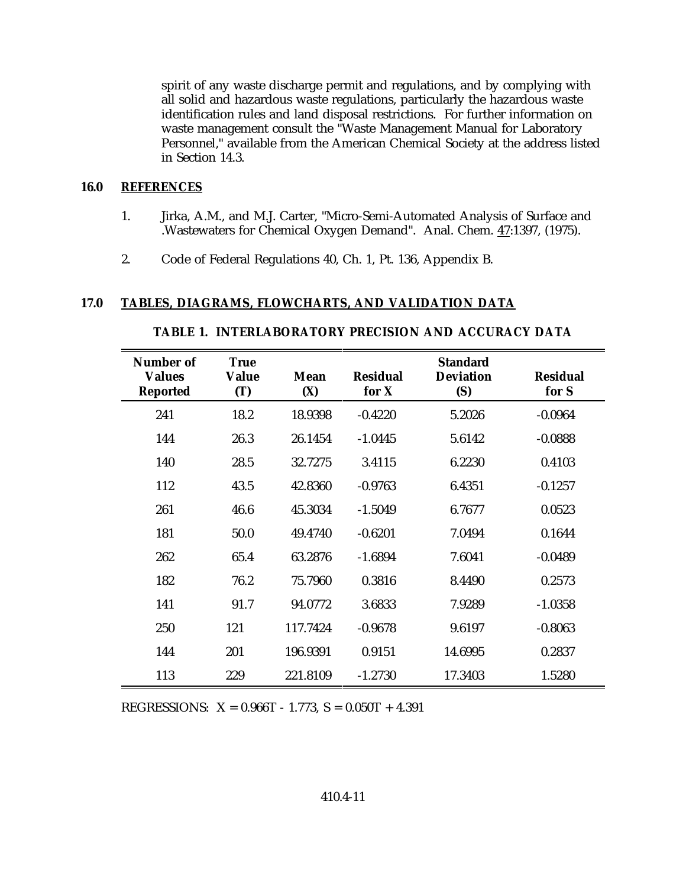spirit of any waste discharge permit and regulations, and by complying with all solid and hazardous waste regulations, particularly the hazardous waste identification rules and land disposal restrictions. For further information on waste management consult the "Waste Management Manual for Laboratory Personnel," available from the American Chemical Society at the address listed in Section 14.3.

#### **16.0 REFERENCES**

- 1. Jirka, A.M., and M.J. Carter, "Micro-Semi-Automated Analysis of Surface and .Wastewaters for Chemical Oxygen Demand". Anal. Chem. 47:1397, (1975).
- 2. Code of Federal Regulations 40, Ch. 1, Pt. 136, Appendix B.

#### **17.0 TABLES, DIAGRAMS, FLOWCHARTS, AND VALIDATION DATA**

| Number of<br><b>Values</b><br><b>Reported</b> | <b>True</b><br>Value<br>(T) | Mean<br>(X) | <b>Residual</b><br>for X | <b>Standard</b><br><b>Deviation</b><br>(S) | <b>Residual</b><br>for S |
|-----------------------------------------------|-----------------------------|-------------|--------------------------|--------------------------------------------|--------------------------|
| 241                                           | 18.2                        | 18.9398     | $-0.4220$                | 5.2026                                     | $-0.0964$                |
| 144                                           | 26.3                        | 26.1454     | $-1.0445$                | 5.6142                                     | $-0.0888$                |
| 140                                           | 28.5                        | 32.7275     | 3.4115                   | 6.2230                                     | 0.4103                   |
| 112                                           | 43.5                        | 42.8360     | $-0.9763$                | 6.4351                                     | $-0.1257$                |
| 261                                           | 46.6                        | 45.3034     | $-1.5049$                | 6.7677                                     | 0.0523                   |
| 181                                           | 50.0                        | 49.4740     | $-0.6201$                | 7.0494                                     | 0.1644                   |
| 262                                           | 65.4                        | 63.2876     | $-1.6894$                | 7.6041                                     | $-0.0489$                |
| 182                                           | 76.2                        | 75.7960     | 0.3816                   | 8.4490                                     | 0.2573                   |
| 141                                           | 91.7                        | 94.0772     | 3.6833                   | 7.9289                                     | $-1.0358$                |
| 250                                           | 121                         | 117.7424    | $-0.9678$                | 9.6197                                     | $-0.8063$                |
| 144                                           | 201                         | 196.9391    | 0.9151                   | 14.6995                                    | 0.2837                   |
| 113                                           | 229                         | 221.8109    | $-1.2730$                | 17.3403                                    | 1.5280                   |

**TABLE 1. INTERLABORATORY PRECISION AND ACCURACY DATA**

REGRESSIONS: X = 0.966T - 1.773, S = 0.050T + 4.391